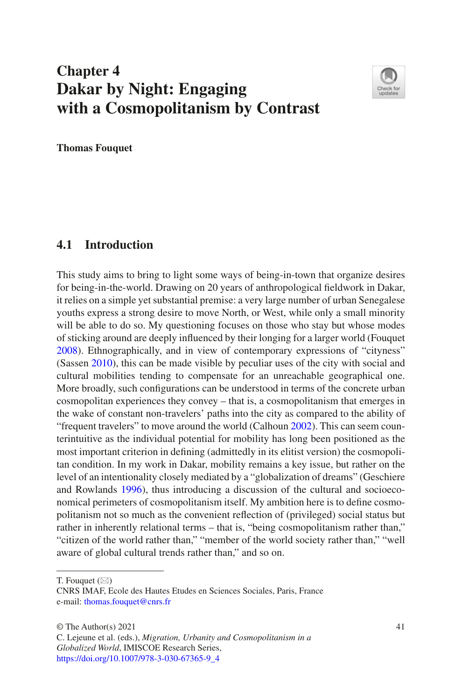# **Chapter 4 Dakar by Night: Engaging with a Cosmopolitanism by Contrast**



**Thomas Fouquet**

## **4.1 Introduction**

This study aims to bring to light some ways of being-in-town that organize desires for being-in-the-world. Drawing on 20 years of anthropological feldwork in Dakar, it relies on a simple yet substantial premise: a very large number of urban Senegalese youths express a strong desire to move North, or West, while only a small minority will be able to do so. My questioning focuses on those who stay but whose modes of sticking around are deeply infuenced by their longing for a larger world (Fouquet [2008\)](#page-12-0). Ethnographically, and in view of contemporary expressions of "cityness" (Sassen [2010\)](#page-12-1), this can be made visible by peculiar uses of the city with social and cultural mobilities tending to compensate for an unreachable geographical one. More broadly, such confgurations can be understood in terms of the concrete urban cosmopolitan experiences they convey – that is, a cosmopolitanism that emerges in the wake of constant non-travelers' paths into the city as compared to the ability of "frequent travelers" to move around the world (Calhoun [2002\)](#page-11-0). This can seem counterintuitive as the individual potential for mobility has long been positioned as the most important criterion in defning (admittedly in its elitist version) the cosmopolitan condition. In my work in Dakar, mobility remains a key issue, but rather on the level of an intentionality closely mediated by a "globalization of dreams" (Geschiere and Rowlands [1996](#page-12-2)), thus introducing a discussion of the cultural and socioeconomical perimeters of cosmopolitanism itself. My ambition here is to defne cosmopolitanism not so much as the convenient refection of (privileged) social status but rather in inherently relational terms – that is, "being cosmopolitanism rather than," "citizen of the world rather than," "member of the world society rather than," "well aware of global cultural trends rather than," and so on.

T. Fouquet  $(\boxtimes)$ 

CNRS IMAF, Ecole des Hautes Etudes en Sciences Sociales, Paris, France e-mail: [thomas.fouquet@cnrs.fr](mailto:thomas.fouquet@cnrs.fr)

 $\odot$  The Author(s) 2021 41

C. Lejeune et al. (eds.), *Migration, Urbanity and Cosmopolitanism in a Globalized World*, IMISCOE Research Series, [https://doi.org/10.1007/978-3-030-67365-9\\_4](https://doi.org/10.1007/978-3-030-67365-9_4#DOI)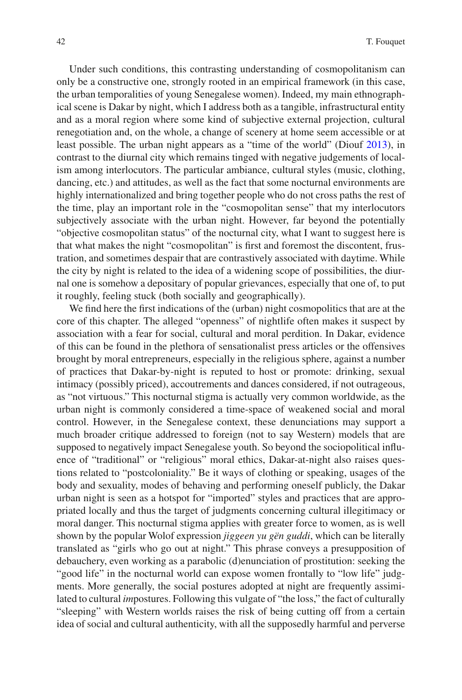Under such conditions, this contrasting understanding of cosmopolitanism can only be a constructive one, strongly rooted in an empirical framework (in this case, the urban temporalities of young Senegalese women). Indeed, my main ethnographical scene is Dakar by night, which I address both as a tangible, infrastructural entity and as a moral region where some kind of subjective external projection, cultural renegotiation and, on the whole, a change of scenery at home seem accessible or at least possible. The urban night appears as a "time of the world" (Diouf [2013\)](#page-11-1), in contrast to the diurnal city which remains tinged with negative judgements of localism among interlocutors. The particular ambiance, cultural styles (music, clothing, dancing, etc.) and attitudes, as well as the fact that some nocturnal environments are highly internationalized and bring together people who do not cross paths the rest of the time, play an important role in the "cosmopolitan sense" that my interlocutors subjectively associate with the urban night. However, far beyond the potentially "objective cosmopolitan status" of the nocturnal city, what I want to suggest here is that what makes the night "cosmopolitan" is frst and foremost the discontent, frustration, and sometimes despair that are contrastively associated with daytime. While the city by night is related to the idea of a widening scope of possibilities, the diurnal one is somehow a depositary of popular grievances, especially that one of, to put it roughly, feeling stuck (both socially and geographically).

We fnd here the frst indications of the (urban) night cosmopolitics that are at the core of this chapter. The alleged "openness" of nightlife often makes it suspect by association with a fear for social, cultural and moral perdition. In Dakar, evidence of this can be found in the plethora of sensationalist press articles or the offensives brought by moral entrepreneurs, especially in the religious sphere, against a number of practices that Dakar-by-night is reputed to host or promote: drinking, sexual intimacy (possibly priced), accoutrements and dances considered, if not outrageous, as "not virtuous." This nocturnal stigma is actually very common worldwide, as the urban night is commonly considered a time-space of weakened social and moral control. However, in the Senegalese context, these denunciations may support a much broader critique addressed to foreign (not to say Western) models that are supposed to negatively impact Senegalese youth. So beyond the sociopolitical infuence of "traditional" or "religious" moral ethics, Dakar-at-night also raises questions related to "postcoloniality." Be it ways of clothing or speaking, usages of the body and sexuality, modes of behaving and performing oneself publicly, the Dakar urban night is seen as a hotspot for "imported" styles and practices that are appropriated locally and thus the target of judgments concerning cultural illegitimacy or moral danger. This nocturnal stigma applies with greater force to women, as is well shown by the popular Wolof expression *jiggeen yu gën guddi*, which can be literally translated as "girls who go out at night." This phrase conveys a presupposition of debauchery, even working as a parabolic (d)enunciation of prostitution: seeking the "good life" in the nocturnal world can expose women frontally to "low life" judgments. More generally, the social postures adopted at night are frequently assimilated to cultural *im*postures. Following this vulgate of "the loss," the fact of culturally "sleeping" with Western worlds raises the risk of being cutting off from a certain idea of social and cultural authenticity, with all the supposedly harmful and perverse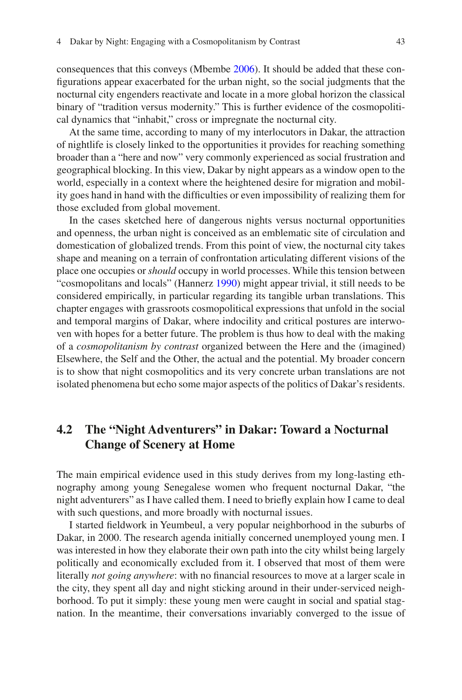consequences that this conveys (Mbembe [2006](#page-12-3)). It should be added that these confgurations appear exacerbated for the urban night, so the social judgments that the nocturnal city engenders reactivate and locate in a more global horizon the classical binary of "tradition versus modernity." This is further evidence of the cosmopolitical dynamics that "inhabit," cross or impregnate the nocturnal city.

At the same time, according to many of my interlocutors in Dakar, the attraction of nightlife is closely linked to the opportunities it provides for reaching something broader than a "here and now" very commonly experienced as social frustration and geographical blocking. In this view, Dakar by night appears as a window open to the world, especially in a context where the heightened desire for migration and mobility goes hand in hand with the diffculties or even impossibility of realizing them for those excluded from global movement.

In the cases sketched here of dangerous nights versus nocturnal opportunities and openness, the urban night is conceived as an emblematic site of circulation and domestication of globalized trends. From this point of view, the nocturnal city takes shape and meaning on a terrain of confrontation articulating different visions of the place one occupies or *should* occupy in world processes. While this tension between "cosmopolitans and locals" (Hannerz [1990](#page-12-4)) might appear trivial, it still needs to be considered empirically, in particular regarding its tangible urban translations. This chapter engages with grassroots cosmopolitical expressions that unfold in the social and temporal margins of Dakar, where indocility and critical postures are interwoven with hopes for a better future. The problem is thus how to deal with the making of a *cosmopolitanism by contrast* organized between the Here and the (imagined) Elsewhere, the Self and the Other, the actual and the potential. My broader concern is to show that night cosmopolitics and its very concrete urban translations are not isolated phenomena but echo some major aspects of the politics of Dakar's residents.

## **4.2 The "Night Adventurers" in Dakar: Toward a Nocturnal Change of Scenery at Home**

The main empirical evidence used in this study derives from my long-lasting ethnography among young Senegalese women who frequent nocturnal Dakar, "the night adventurers" as I have called them. I need to briefy explain how I came to deal with such questions, and more broadly with nocturnal issues.

I started feldwork in Yeumbeul, a very popular neighborhood in the suburbs of Dakar, in 2000. The research agenda initially concerned unemployed young men. I was interested in how they elaborate their own path into the city whilst being largely politically and economically excluded from it. I observed that most of them were literally *not going anywhere*: with no fnancial resources to move at a larger scale in the city, they spent all day and night sticking around in their under-serviced neighborhood. To put it simply: these young men were caught in social and spatial stagnation. In the meantime, their conversations invariably converged to the issue of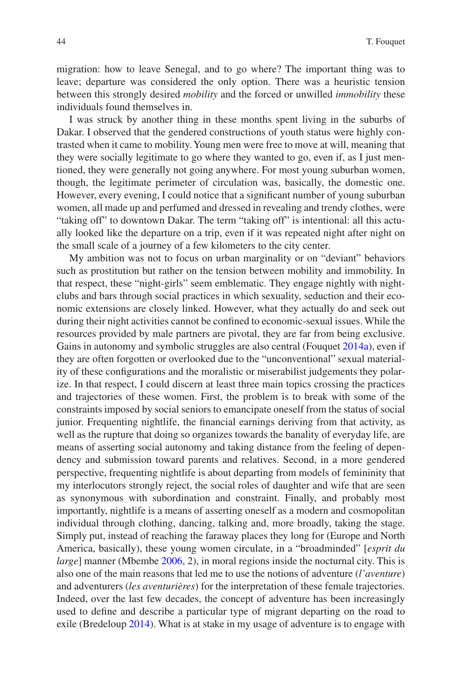migration: how to leave Senegal, and to go where? The important thing was to leave; departure was considered the only option. There was a heuristic tension between this strongly desired *mobility* and the forced or unwilled *immobility* these individuals found themselves in.

I was struck by another thing in these months spent living in the suburbs of Dakar. I observed that the gendered constructions of youth status were highly contrasted when it came to mobility. Young men were free to move at will, meaning that they were socially legitimate to go where they wanted to go, even if, as I just mentioned, they were generally not going anywhere. For most young suburban women, though, the legitimate perimeter of circulation was, basically, the domestic one. However, every evening, I could notice that a signifcant number of young suburban women, all made up and perfumed and dressed in revealing and trendy clothes, were "taking off" to downtown Dakar. The term "taking off" is intentional: all this actually looked like the departure on a trip, even if it was repeated night after night on the small scale of a journey of a few kilometers to the city center.

My ambition was not to focus on urban marginality or on "deviant" behaviors such as prostitution but rather on the tension between mobility and immobility. In that respect, these "night-girls" seem emblematic. They engage nightly with nightclubs and bars through social practices in which sexuality, seduction and their economic extensions are closely linked. However, what they actually do and seek out during their night activities cannot be confned to economic-sexual issues. While the resources provided by male partners are pivotal, they are far from being exclusive. Gains in autonomy and symbolic struggles are also central (Fouquet [2014a\)](#page-12-5), even if they are often forgotten or overlooked due to the "unconventional" sexual materiality of these confgurations and the moralistic or miserabilist judgements they polarize. In that respect, I could discern at least three main topics crossing the practices and trajectories of these women. First, the problem is to break with some of the constraints imposed by social seniors to emancipate oneself from the status of social junior. Frequenting nightlife, the fnancial earnings deriving from that activity, as well as the rupture that doing so organizes towards the banality of everyday life, are means of asserting social autonomy and taking distance from the feeling of dependency and submission toward parents and relatives. Second, in a more gendered perspective, frequenting nightlife is about departing from models of femininity that my interlocutors strongly reject, the social roles of daughter and wife that are seen as synonymous with subordination and constraint. Finally, and probably most importantly, nightlife is a means of asserting oneself as a modern and cosmopolitan individual through clothing, dancing, talking and, more broadly, taking the stage. Simply put, instead of reaching the faraway places they long for (Europe and North America, basically), these young women circulate, in a "broadminded" [*esprit du large*] manner (Mbembe [2006,](#page-12-3) 2), in moral regions inside the nocturnal city. This is also one of the main reasons that led me to use the notions of adventure (*l'aventure*) and adventurers (*les aventurières*) for the interpretation of these female trajectories. Indeed, over the last few decades, the concept of adventure has been increasingly used to defne and describe a particular type of migrant departing on the road to exile (Bredeloup [2014\)](#page-11-2). What is at stake in my usage of adventure is to engage with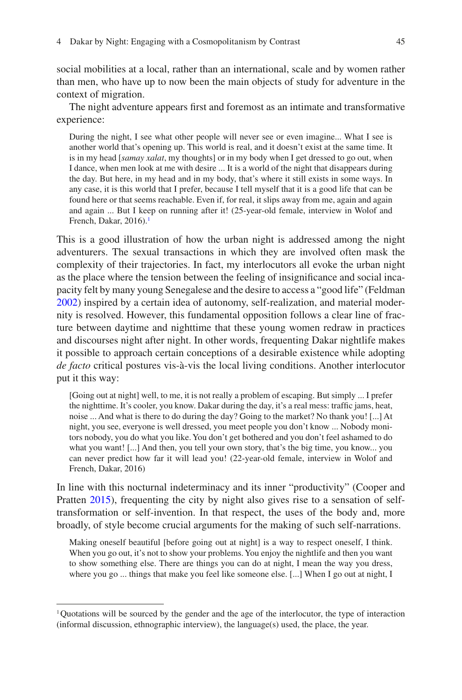social mobilities at a local, rather than an international, scale and by women rather than men, who have up to now been the main objects of study for adventure in the context of migration.

The night adventure appears frst and foremost as an intimate and transformative experience:

During the night, I see what other people will never see or even imagine... What I see is another world that's opening up. This world is real, and it doesn't exist at the same time. It is in my head [*samay xalat*, my thoughts] or in my body when I get dressed to go out, when I dance, when men look at me with desire ... It is a world of the night that disappears during the day. But here, in my head and in my body, that's where it still exists in some ways. In any case, it is this world that I prefer, because I tell myself that it is a good life that can be found here or that seems reachable. Even if, for real, it slips away from me, again and again and again ... But I keep on running after it! (25-year-old female, interview in Wolof and French, Dakar,  $2016$ .<sup>1</sup>

This is a good illustration of how the urban night is addressed among the night adventurers. The sexual transactions in which they are involved often mask the complexity of their trajectories. In fact, my interlocutors all evoke the urban night as the place where the tension between the feeling of insignifcance and social incapacity felt by many young Senegalese and the desire to access a "good life" (Feldman [2002\)](#page-11-3) inspired by a certain idea of autonomy, self-realization, and material modernity is resolved. However, this fundamental opposition follows a clear line of fracture between daytime and nighttime that these young women redraw in practices and discourses night after night. In other words, frequenting Dakar nightlife makes it possible to approach certain conceptions of a desirable existence while adopting *de facto* critical postures vis-à-vis the local living conditions. Another interlocutor put it this way:

[Going out at night] well, to me, it is not really a problem of escaping. But simply ... I prefer the nighttime. It's cooler, you know. Dakar during the day, it's a real mess: traffc jams, heat, noise ... And what is there to do during the day? Going to the market? No thank you! [...] At night, you see, everyone is well dressed, you meet people you don't know ... Nobody monitors nobody, you do what you like. You don't get bothered and you don't feel ashamed to do what you want! [...] And then, you tell your own story, that's the big time, you know... you can never predict how far it will lead you! (22-year-old female, interview in Wolof and French, Dakar, 2016)

In line with this nocturnal indeterminacy and its inner "productivity" (Cooper and Pratten [2015\)](#page-11-4), frequenting the city by night also gives rise to a sensation of selftransformation or self-invention. In that respect, the uses of the body and, more broadly, of style become crucial arguments for the making of such self-narrations.

Making oneself beautiful [before going out at night] is a way to respect oneself, I think. When you go out, it's not to show your problems. You enjoy the nightlife and then you want to show something else. There are things you can do at night, I mean the way you dress, where you go ... things that make you feel like someone else. [...] When I go out at night, I

<span id="page-4-0"></span><sup>1</sup>Quotations will be sourced by the gender and the age of the interlocutor, the type of interaction  $(informal discussion, ethnographic interview), the language(s) used, the place, the year.$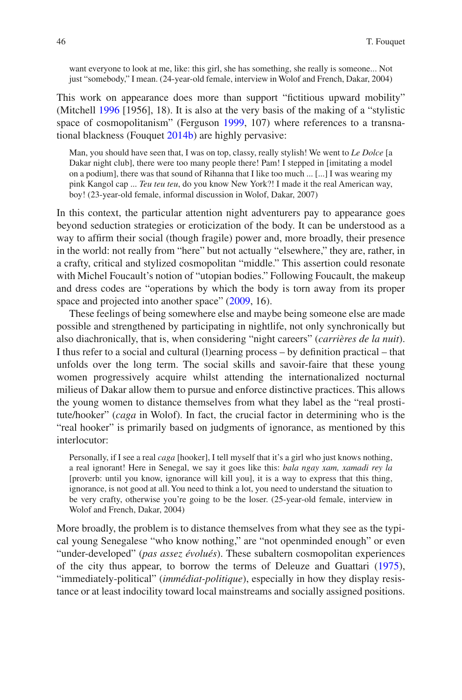want everyone to look at me, like: this girl, she has something, she really is someone... Not just "somebody," I mean. (24-year-old female, interview in Wolof and French, Dakar, 2004)

This work on appearance does more than support "fctitious upward mobility" (Mitchell [1996](#page-12-6) [1956], 18). It is also at the very basis of the making of a "stylistic space of cosmopolitanism" (Ferguson [1999](#page-12-7), 107) where references to a transnational blackness (Fouquet [2014b\)](#page-12-8) are highly pervasive:

Man, you should have seen that, I was on top, classy, really stylish! We went to *Le Dolce* [a Dakar night club], there were too many people there! Pam! I stepped in [imitating a model on a podium], there was that sound of Rihanna that I like too much ... [...] I was wearing my pink Kangol cap ... *Teu teu teu*, do you know New York?! I made it the real American way, boy! (23-year-old female, informal discussion in Wolof, Dakar, 2007)

In this context, the particular attention night adventurers pay to appearance goes beyond seduction strategies or eroticization of the body. It can be understood as a way to affrm their social (though fragile) power and, more broadly, their presence in the world: not really from "here" but not actually "elsewhere," they are, rather, in a crafty, critical and stylized cosmopolitan "middle." This assertion could resonate with Michel Foucault's notion of "utopian bodies." Following Foucault, the makeup and dress codes are "operations by which the body is torn away from its proper space and projected into another space" [\(2009](#page-12-9), 16).

These feelings of being somewhere else and maybe being someone else are made possible and strengthened by participating in nightlife, not only synchronically but also diachronically, that is, when considering "night careers" (*carrières de la nuit*). I thus refer to a social and cultural (l)earning process – by defnition practical – that unfolds over the long term. The social skills and savoir-faire that these young women progressively acquire whilst attending the internationalized nocturnal milieus of Dakar allow them to pursue and enforce distinctive practices. This allows the young women to distance themselves from what they label as the "real prostitute/hooker" (*caga* in Wolof). In fact, the crucial factor in determining who is the "real hooker" is primarily based on judgments of ignorance, as mentioned by this interlocutor:

Personally, if I see a real *caga* [hooker], I tell myself that it's a girl who just knows nothing, a real ignorant! Here in Senegal, we say it goes like this: *bala ngay xam, xamadi rey la* [proverb: until you know, ignorance will kill you], it is a way to express that this thing, ignorance, is not good at all. You need to think a lot, you need to understand the situation to be very crafty, otherwise you're going to be the loser. (25-year-old female, interview in Wolof and French, Dakar, 2004)

More broadly, the problem is to distance themselves from what they see as the typical young Senegalese "who know nothing," are "not openminded enough" or even "under-developed" (*pas assez évolués*). These subaltern cosmopolitan experiences of the city thus appear, to borrow the terms of Deleuze and Guattari ([1975\)](#page-11-5), "immediately-political" (*immédiat-politique*), especially in how they display resistance or at least indocility toward local mainstreams and socially assigned positions.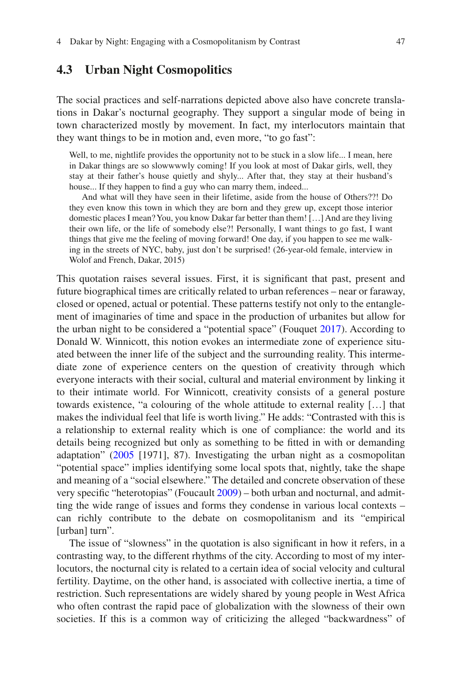### **4.3 Urban Night Cosmopolitics**

The social practices and self-narrations depicted above also have concrete translations in Dakar's nocturnal geography. They support a singular mode of being in town characterized mostly by movement. In fact, my interlocutors maintain that they want things to be in motion and, even more, "to go fast":

Well, to me, nightlife provides the opportunity not to be stuck in a slow life... I mean, here in Dakar things are so slowwwwly coming! If you look at most of Dakar girls, well, they stay at their father's house quietly and shyly... After that, they stay at their husband's house... If they happen to find a guy who can marry them, indeed...

And what will they have seen in their lifetime, aside from the house of Others??! Do they even know this town in which they are born and they grew up, except those interior domestic places I mean? You, you know Dakar far better than them! […] And are they living their own life, or the life of somebody else?! Personally, I want things to go fast, I want things that give me the feeling of moving forward! One day, if you happen to see me walking in the streets of NYC, baby, just don't be surprised! (26-year-old female, interview in Wolof and French, Dakar, 2015)

This quotation raises several issues. First, it is signifcant that past, present and future biographical times are critically related to urban references – near or faraway, closed or opened, actual or potential. These patterns testify not only to the entanglement of imaginaries of time and space in the production of urbanites but allow for the urban night to be considered a "potential space" (Fouquet [2017\)](#page-12-10). According to Donald W. Winnicott, this notion evokes an intermediate zone of experience situated between the inner life of the subject and the surrounding reality. This intermediate zone of experience centers on the question of creativity through which everyone interacts with their social, cultural and material environment by linking it to their intimate world. For Winnicott, creativity consists of a general posture towards existence, "a colouring of the whole attitude to external reality […] that makes the individual feel that life is worth living." He adds: "Contrasted with this is a relationship to external reality which is one of compliance: the world and its details being recognized but only as something to be ftted in with or demanding adaptation" ([2005](#page-12-11) [1971], 87). Investigating the urban night as a cosmopolitan "potential space" implies identifying some local spots that, nightly, take the shape and meaning of a "social elsewhere." The detailed and concrete observation of these very specifc "heterotopias" (Foucault [2009](#page-12-9)) – both urban and nocturnal, and admitting the wide range of issues and forms they condense in various local contexts – can richly contribute to the debate on cosmopolitanism and its "empirical [urban] turn".

The issue of "slowness" in the quotation is also signifcant in how it refers, in a contrasting way, to the different rhythms of the city. According to most of my interlocutors, the nocturnal city is related to a certain idea of social velocity and cultural fertility. Daytime, on the other hand, is associated with collective inertia, a time of restriction. Such representations are widely shared by young people in West Africa who often contrast the rapid pace of globalization with the slowness of their own societies. If this is a common way of criticizing the alleged "backwardness" of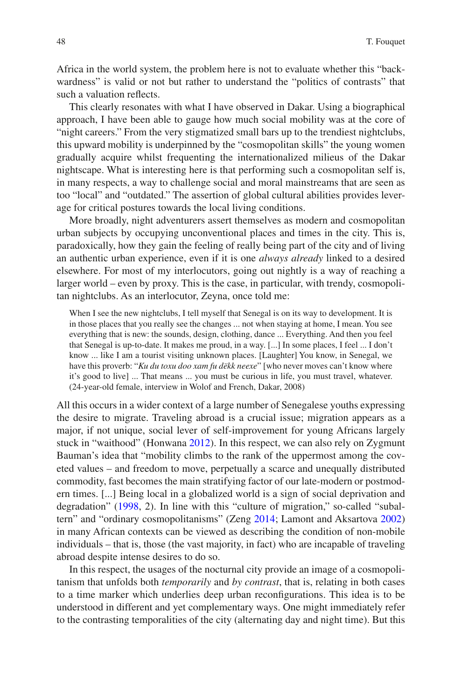Africa in the world system, the problem here is not to evaluate whether this "backwardness" is valid or not but rather to understand the "politics of contrasts" that such a valuation refects.

This clearly resonates with what I have observed in Dakar. Using a biographical approach, I have been able to gauge how much social mobility was at the core of "night careers." From the very stigmatized small bars up to the trendiest nightclubs, this upward mobility is underpinned by the "cosmopolitan skills" the young women gradually acquire whilst frequenting the internationalized milieus of the Dakar nightscape. What is interesting here is that performing such a cosmopolitan self is, in many respects, a way to challenge social and moral mainstreams that are seen as too "local" and "outdated." The assertion of global cultural abilities provides leverage for critical postures towards the local living conditions.

More broadly, night adventurers assert themselves as modern and cosmopolitan urban subjects by occupying unconventional places and times in the city. This is, paradoxically, how they gain the feeling of really being part of the city and of living an authentic urban experience, even if it is one *always already* linked to a desired elsewhere. For most of my interlocutors, going out nightly is a way of reaching a larger world – even by proxy. This is the case, in particular, with trendy, cosmopolitan nightclubs. As an interlocutor, Zeyna, once told me:

When I see the new nightclubs, I tell myself that Senegal is on its way to development. It is in those places that you really see the changes ... not when staying at home, I mean. You see everything that is new: the sounds, design, clothing, dance ... Everything. And then you feel that Senegal is up-to-date. It makes me proud, in a way. [...] In some places, I feel ... I don't know ... like I am a tourist visiting unknown places. [Laughter] You know, in Senegal, we have this proverb: "*Ku du toxu doo xam fu dëkk neexe*" [who never moves can't know where it's good to live] ... That means ... you must be curious in life, you must travel, whatever. (24-year-old female, interview in Wolof and French, Dakar, 2008)

All this occurs in a wider context of a large number of Senegalese youths expressing the desire to migrate. Traveling abroad is a crucial issue; migration appears as a major, if not unique, social lever of self-improvement for young Africans largely stuck in "waithood" (Honwana [2012](#page-12-12)). In this respect, we can also rely on Zygmunt Bauman's idea that "mobility climbs to the rank of the uppermost among the coveted values – and freedom to move, perpetually a scarce and unequally distributed commodity, fast becomes the main stratifying factor of our late-modern or postmodern times. [...] Being local in a globalized world is a sign of social deprivation and degradation" [\(1998](#page-11-6), 2). In line with this "culture of migration," so-called "subaltern" and "ordinary cosmopolitanisms" (Zeng [2014;](#page-12-13) Lamont and Aksartova [2002](#page-12-14)) in many African contexts can be viewed as describing the condition of non-mobile individuals – that is, those (the vast majority, in fact) who are incapable of traveling abroad despite intense desires to do so.

In this respect, the usages of the nocturnal city provide an image of a cosmopolitanism that unfolds both *temporarily* and *by contrast*, that is, relating in both cases to a time marker which underlies deep urban reconfgurations. This idea is to be understood in different and yet complementary ways. One might immediately refer to the contrasting temporalities of the city (alternating day and night time). But this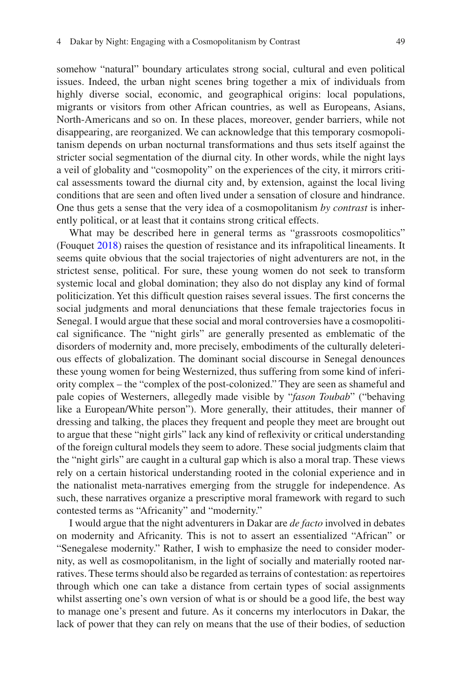somehow "natural" boundary articulates strong social, cultural and even political issues. Indeed, the urban night scenes bring together a mix of individuals from highly diverse social, economic, and geographical origins: local populations, migrants or visitors from other African countries, as well as Europeans, Asians, North-Americans and so on. In these places, moreover, gender barriers, while not disappearing, are reorganized. We can acknowledge that this temporary cosmopolitanism depends on urban nocturnal transformations and thus sets itself against the stricter social segmentation of the diurnal city. In other words, while the night lays a veil of globality and "cosmopolity" on the experiences of the city, it mirrors critical assessments toward the diurnal city and, by extension, against the local living conditions that are seen and often lived under a sensation of closure and hindrance. One thus gets a sense that the very idea of a cosmopolitanism *by contrast* is inherently political, or at least that it contains strong critical effects.

What may be described here in general terms as "grassroots cosmopolitics" (Fouquet [2018](#page-12-15)) raises the question of resistance and its infrapolitical lineaments. It seems quite obvious that the social trajectories of night adventurers are not, in the strictest sense, political. For sure, these young women do not seek to transform systemic local and global domination; they also do not display any kind of formal politicization. Yet this diffcult question raises several issues. The frst concerns the social judgments and moral denunciations that these female trajectories focus in Senegal. I would argue that these social and moral controversies have a cosmopolitical signifcance. The "night girls" are generally presented as emblematic of the disorders of modernity and, more precisely, embodiments of the culturally deleterious effects of globalization. The dominant social discourse in Senegal denounces these young women for being Westernized, thus suffering from some kind of inferiority complex – the "complex of the post-colonized." They are seen as shameful and pale copies of Westerners, allegedly made visible by "*fason Toubab*" ("behaving like a European/White person"). More generally, their attitudes, their manner of dressing and talking, the places they frequent and people they meet are brought out to argue that these "night girls" lack any kind of refexivity or critical understanding of the foreign cultural models they seem to adore. These social judgments claim that the "night girls" are caught in a cultural gap which is also a moral trap. These views rely on a certain historical understanding rooted in the colonial experience and in the nationalist meta-narratives emerging from the struggle for independence. As such, these narratives organize a prescriptive moral framework with regard to such contested terms as "Africanity" and "modernity."

I would argue that the night adventurers in Dakar are *de facto* involved in debates on modernity and Africanity. This is not to assert an essentialized "African" or "Senegalese modernity." Rather, I wish to emphasize the need to consider modernity, as well as cosmopolitanism, in the light of socially and materially rooted narratives. These terms should also be regarded as terrains of contestation: as repertoires through which one can take a distance from certain types of social assignments whilst asserting one's own version of what is or should be a good life, the best way to manage one's present and future. As it concerns my interlocutors in Dakar, the lack of power that they can rely on means that the use of their bodies, of seduction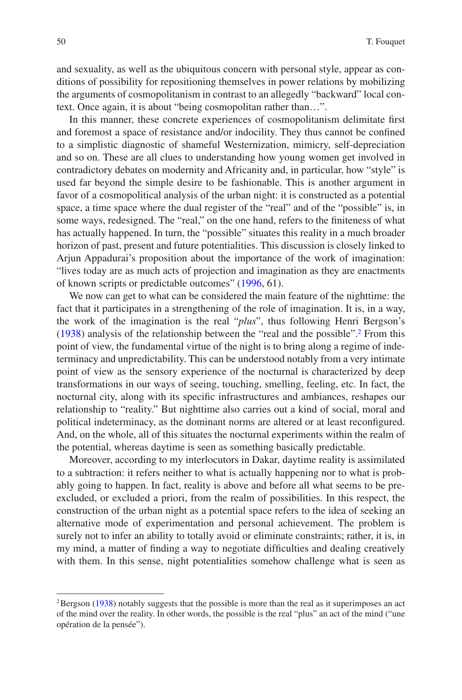and sexuality, as well as the ubiquitous concern with personal style, appear as conditions of possibility for repositioning themselves in power relations by mobilizing the arguments of cosmopolitanism in contrast to an allegedly "backward" local context. Once again, it is about "being cosmopolitan rather than…".

In this manner, these concrete experiences of cosmopolitanism delimitate frst and foremost a space of resistance and/or indocility. They thus cannot be confned to a simplistic diagnostic of shameful Westernization, mimicry, self-depreciation and so on. These are all clues to understanding how young women get involved in contradictory debates on modernity and Africanity and, in particular, how "style" is used far beyond the simple desire to be fashionable. This is another argument in favor of a cosmopolitical analysis of the urban night: it is constructed as a potential space, a time space where the dual register of the "real" and of the "possible" is, in some ways, redesigned. The "real," on the one hand, refers to the fniteness of what has actually happened. In turn, the "possible" situates this reality in a much broader horizon of past, present and future potentialities. This discussion is closely linked to Arjun Appadurai's proposition about the importance of the work of imagination: "lives today are as much acts of projection and imagination as they are enactments of known scripts or predictable outcomes" [\(1996](#page-11-7), 61).

We now can get to what can be considered the main feature of the nighttime: the fact that it participates in a strengthening of the role of imagination. It is, in a way, the work of the imagination is the real "*plus*", thus following Henri Bergson's [\(1938](#page-11-8)) analysis of the relationship between the "real and the possible".[2](#page-9-0) From this point of view, the fundamental virtue of the night is to bring along a regime of indeterminacy and unpredictability. This can be understood notably from a very intimate point of view as the sensory experience of the nocturnal is characterized by deep transformations in our ways of seeing, touching, smelling, feeling, etc. In fact, the nocturnal city, along with its specifc infrastructures and ambiances, reshapes our relationship to "reality." But nighttime also carries out a kind of social, moral and political indeterminacy, as the dominant norms are altered or at least reconfgured. And, on the whole, all of this situates the nocturnal experiments within the realm of the potential, whereas daytime is seen as something basically predictable.

Moreover, according to my interlocutors in Dakar, daytime reality is assimilated to a subtraction: it refers neither to what is actually happening nor to what is probably going to happen. In fact, reality is above and before all what seems to be preexcluded, or excluded a priori, from the realm of possibilities. In this respect, the construction of the urban night as a potential space refers to the idea of seeking an alternative mode of experimentation and personal achievement. The problem is surely not to infer an ability to totally avoid or eliminate constraints; rather, it is, in my mind, a matter of fnding a way to negotiate diffculties and dealing creatively with them. In this sense, night potentialities somehow challenge what is seen as

<span id="page-9-0"></span><sup>&</sup>lt;sup>2</sup>Bergson ([1938\)](#page-11-8) notably suggests that the possible is more than the real as it superimposes an act of the mind over the reality. In other words, the possible is the real "plus" an act of the mind ("une opération de la pensée").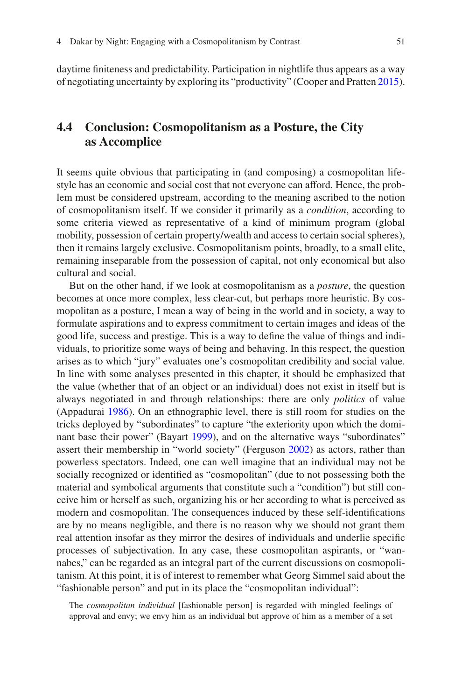daytime fniteness and predictability. Participation in nightlife thus appears as a way of negotiating uncertainty by exploring its "productivity" (Cooper and Pratten [2015\)](#page-11-4).

## **4.4 Conclusion: Cosmopolitanism as a Posture, the City as Accomplice**

It seems quite obvious that participating in (and composing) a cosmopolitan lifestyle has an economic and social cost that not everyone can afford. Hence, the problem must be considered upstream, according to the meaning ascribed to the notion of cosmopolitanism itself. If we consider it primarily as a *condition*, according to some criteria viewed as representative of a kind of minimum program (global mobility, possession of certain property/wealth and access to certain social spheres), then it remains largely exclusive. Cosmopolitanism points, broadly, to a small elite, remaining inseparable from the possession of capital, not only economical but also cultural and social.

But on the other hand, if we look at cosmopolitanism as a *posture*, the question becomes at once more complex, less clear-cut, but perhaps more heuristic. By cosmopolitan as a posture, I mean a way of being in the world and in society, a way to formulate aspirations and to express commitment to certain images and ideas of the good life, success and prestige. This is a way to defne the value of things and individuals, to prioritize some ways of being and behaving. In this respect, the question arises as to which "jury" evaluates one's cosmopolitan credibility and social value. In line with some analyses presented in this chapter, it should be emphasized that the value (whether that of an object or an individual) does not exist in itself but is always negotiated in and through relationships: there are only *politics* of value (Appadurai [1986\)](#page-11-9). On an ethnographic level, there is still room for studies on the tricks deployed by "subordinates" to capture "the exteriority upon which the dominant base their power" (Bayart [1999](#page-11-10)), and on the alternative ways "subordinates" assert their membership in "world society" (Ferguson [2002\)](#page-12-16) as actors, rather than powerless spectators. Indeed, one can well imagine that an individual may not be socially recognized or identifed as "cosmopolitan" (due to not possessing both the material and symbolical arguments that constitute such a "condition") but still conceive him or herself as such, organizing his or her according to what is perceived as modern and cosmopolitan. The consequences induced by these self-identifcations are by no means negligible, and there is no reason why we should not grant them real attention insofar as they mirror the desires of individuals and underlie specifc processes of subjectivation. In any case, these cosmopolitan aspirants, or "wannabes," can be regarded as an integral part of the current discussions on cosmopolitanism. At this point, it is of interest to remember what Georg Simmel said about the "fashionable person" and put in its place the "cosmopolitan individual":

The *cosmopolitan individual* [fashionable person] is regarded with mingled feelings of approval and envy; we envy him as an individual but approve of him as a member of a set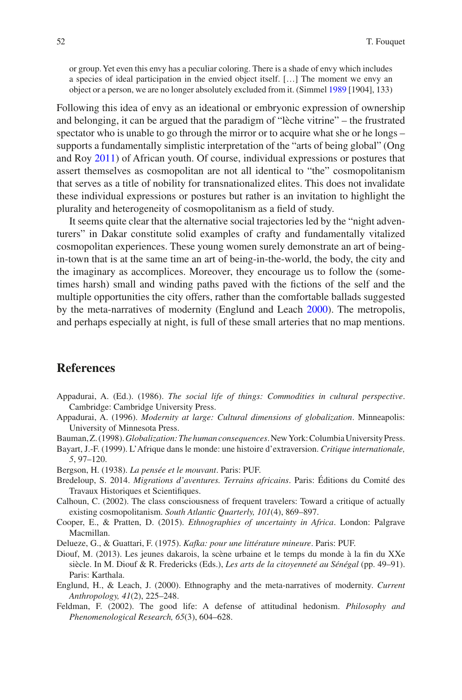or group. Yet even this envy has a peculiar coloring. There is a shade of envy which includes a species of ideal participation in the envied object itself. […] The moment we envy an object or a person, we are no longer absolutely excluded from it. (Simmel [1989](#page-12-17) [1904], 133)

Following this idea of envy as an ideational or embryonic expression of ownership and belonging, it can be argued that the paradigm of "lèche vitrine" – the frustrated spectator who is unable to go through the mirror or to acquire what she or he longs – supports a fundamentally simplistic interpretation of the "arts of being global" (Ong and Roy [2011](#page-12-18)) of African youth. Of course, individual expressions or postures that assert themselves as cosmopolitan are not all identical to "the" cosmopolitanism that serves as a title of nobility for transnationalized elites. This does not invalidate these individual expressions or postures but rather is an invitation to highlight the plurality and heterogeneity of cosmopolitanism as a feld of study.

It seems quite clear that the alternative social trajectories led by the "night adventurers" in Dakar constitute solid examples of crafty and fundamentally vitalized cosmopolitan experiences. These young women surely demonstrate an art of beingin-town that is at the same time an art of being-in-the-world, the body, the city and the imaginary as accomplices. Moreover, they encourage us to follow the (sometimes harsh) small and winding paths paved with the fctions of the self and the multiple opportunities the city offers, rather than the comfortable ballads suggested by the meta-narratives of modernity (Englund and Leach [2000\)](#page-11-11). The metropolis, and perhaps especially at night, is full of these small arteries that no map mentions.

#### **References**

- <span id="page-11-9"></span>Appadurai, A. (Ed.). (1986). *The social life of things: Commodities in cultural perspective*. Cambridge: Cambridge University Press.
- <span id="page-11-7"></span>Appadurai, A. (1996). *Modernity at large: Cultural dimensions of globalization*. Minneapolis: University of Minnesota Press.
- <span id="page-11-6"></span>Bauman, Z. (1998). *Globalization: The human consequences*. New York: Columbia University Press.
- <span id="page-11-10"></span>Bayart, J.-F. (1999). L'Afrique dans le monde: une histoire d'extraversion. *Critique internationale, 5*, 97–120.
- <span id="page-11-8"></span>Bergson, H. (1938). *La pensée et le mouvant*. Paris: PUF.
- <span id="page-11-2"></span>Bredeloup, S. 2014. *Migrations d'aventures. Terrains africains*. Paris: Éditions du Comité des Travaux Historiques et Scientifques.
- <span id="page-11-0"></span>Calhoun, C. (2002). The class consciousness of frequent travelers: Toward a critique of actually existing cosmopolitanism. *South Atlantic Quarterly, 101*(4), 869–897.
- <span id="page-11-4"></span>Cooper, E., & Pratten, D. (2015). *Ethnographies of uncertainty in Africa*. London: Palgrave Macmillan.
- <span id="page-11-5"></span>Delueze, G., & Guattari, F. (1975). *Kafka: pour une littérature mineure*. Paris: PUF.
- <span id="page-11-1"></span>Diouf, M. (2013). Les jeunes dakarois, la scène urbaine et le temps du monde à la fn du XXe siècle. In M. Diouf & R. Fredericks (Eds.), *Les arts de la citoyenneté au Sénégal* (pp. 49–91). Paris: Karthala.
- <span id="page-11-11"></span>Englund, H., & Leach, J. (2000). Ethnography and the meta-narratives of modernity. *Current Anthropology, 41*(2), 225–248.
- <span id="page-11-3"></span>Feldman, F. (2002). The good life: A defense of attitudinal hedonism. *Philosophy and Phenomenological Research, 65*(3), 604–628.